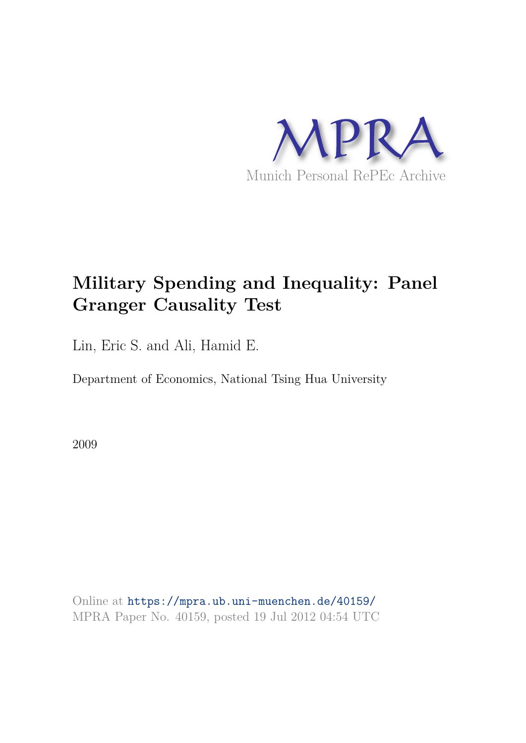

# **Military Spending and Inequality: Panel Granger Causality Test**

Lin, Eric S. and Ali, Hamid E.

Department of Economics, National Tsing Hua University

2009

Online at https://mpra.ub.uni-muenchen.de/40159/ MPRA Paper No. 40159, posted 19 Jul 2012 04:54 UTC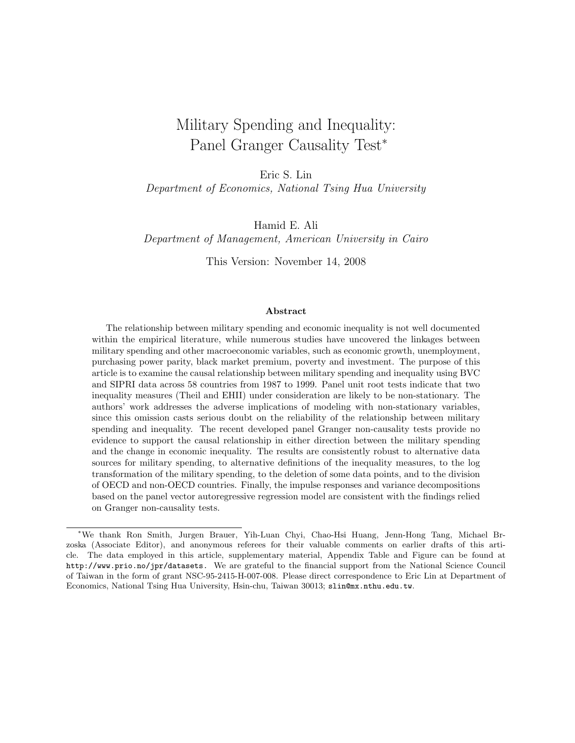## Military Spending and Inequality: Panel Granger Causality Test<sup>∗</sup>

Eric S. Lin

Department of Economics, National Tsing Hua University

Hamid E. Ali Department of Management, American University in Cairo

This Version: November 14, 2008

#### Abstract

The relationship between military spending and economic inequality is not well documented within the empirical literature, while numerous studies have uncovered the linkages between military spending and other macroeconomic variables, such as economic growth, unemployment, purchasing power parity, black market premium, poverty and investment. The purpose of this article is to examine the causal relationship between military spending and inequality using BVC and SIPRI data across 58 countries from 1987 to 1999. Panel unit root tests indicate that two inequality measures (Theil and EHII) under consideration are likely to be non-stationary. The authors' work addresses the adverse implications of modeling with non-stationary variables, since this omission casts serious doubt on the reliability of the relationship between military spending and inequality. The recent developed panel Granger non-causality tests provide no evidence to support the causal relationship in either direction between the military spending and the change in economic inequality. The results are consistently robust to alternative data sources for military spending, to alternative definitions of the inequality measures, to the log transformation of the military spending, to the deletion of some data points, and to the division of OECD and non-OECD countries. Finally, the impulse responses and variance decompositions based on the panel vector autoregressive regression model are consistent with the findings relied on Granger non-causality tests.

<sup>∗</sup>We thank Ron Smith, Jurgen Brauer, Yih-Luan Chyi, Chao-Hsi Huang, Jenn-Hong Tang, Michael Brzoska (Associate Editor), and anonymous referees for their valuable comments on earlier drafts of this article. The data employed in this article, supplementary material, Appendix Table and Figure can be found at http://www.prio.no/jpr/datasets. We are grateful to the financial support from the National Science Council of Taiwan in the form of grant NSC-95-2415-H-007-008. Please direct correspondence to Eric Lin at Department of Economics, National Tsing Hua University, Hsin-chu, Taiwan 30013; slin@mx.nthu.edu.tw.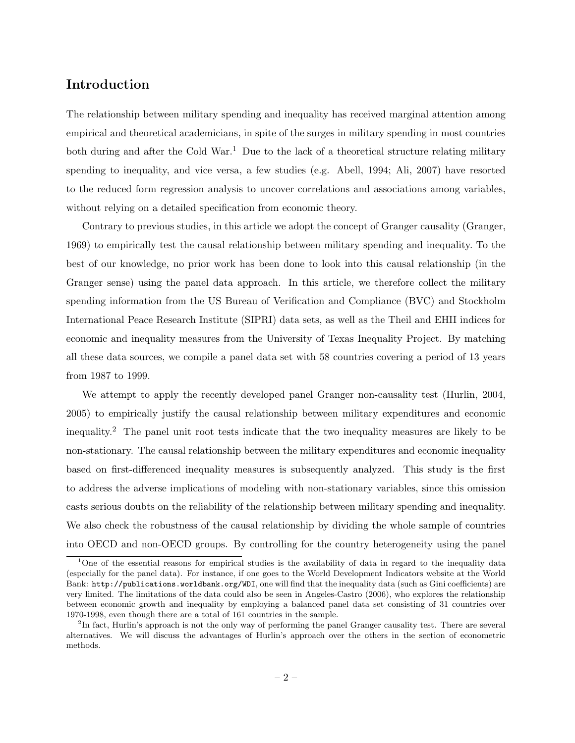## Introduction

The relationship between military spending and inequality has received marginal attention among empirical and theoretical academicians, in spite of the surges in military spending in most countries both during and after the Cold War.<sup>1</sup> Due to the lack of a theoretical structure relating military spending to inequality, and vice versa, a few studies (e.g. Abell, 1994; Ali, 2007) have resorted to the reduced form regression analysis to uncover correlations and associations among variables, without relying on a detailed specification from economic theory.

Contrary to previous studies, in this article we adopt the concept of Granger causality (Granger, 1969) to empirically test the causal relationship between military spending and inequality. To the best of our knowledge, no prior work has been done to look into this causal relationship (in the Granger sense) using the panel data approach. In this article, we therefore collect the military spending information from the US Bureau of Verification and Compliance (BVC) and Stockholm International Peace Research Institute (SIPRI) data sets, as well as the Theil and EHII indices for economic and inequality measures from the University of Texas Inequality Project. By matching all these data sources, we compile a panel data set with 58 countries covering a period of 13 years from 1987 to 1999.

We attempt to apply the recently developed panel Granger non-causality test (Hurlin, 2004, 2005) to empirically justify the causal relationship between military expenditures and economic inequality.<sup>2</sup> The panel unit root tests indicate that the two inequality measures are likely to be non-stationary. The causal relationship between the military expenditures and economic inequality based on first-differenced inequality measures is subsequently analyzed. This study is the first to address the adverse implications of modeling with non-stationary variables, since this omission casts serious doubts on the reliability of the relationship between military spending and inequality. We also check the robustness of the causal relationship by dividing the whole sample of countries into OECD and non-OECD groups. By controlling for the country heterogeneity using the panel

<sup>&</sup>lt;sup>1</sup>One of the essential reasons for empirical studies is the availability of data in regard to the inequality data (especially for the panel data). For instance, if one goes to the World Development Indicators website at the World Bank: http://publications.worldbank.org/WDI, one will find that the inequality data (such as Gini coefficients) are very limited. The limitations of the data could also be seen in Angeles-Castro (2006), who explores the relationship between economic growth and inequality by employing a balanced panel data set consisting of 31 countries over 1970-1998, even though there are a total of 161 countries in the sample.

<sup>&</sup>lt;sup>2</sup>In fact, Hurlin's approach is not the only way of performing the panel Granger causality test. There are several alternatives. We will discuss the advantages of Hurlin's approach over the others in the section of econometric methods.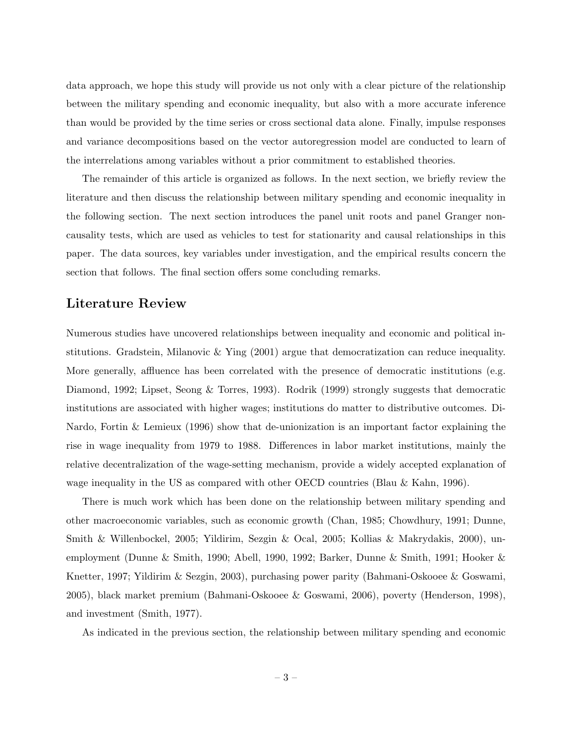data approach, we hope this study will provide us not only with a clear picture of the relationship between the military spending and economic inequality, but also with a more accurate inference than would be provided by the time series or cross sectional data alone. Finally, impulse responses and variance decompositions based on the vector autoregression model are conducted to learn of the interrelations among variables without a prior commitment to established theories.

The remainder of this article is organized as follows. In the next section, we briefly review the literature and then discuss the relationship between military spending and economic inequality in the following section. The next section introduces the panel unit roots and panel Granger noncausality tests, which are used as vehicles to test for stationarity and causal relationships in this paper. The data sources, key variables under investigation, and the empirical results concern the section that follows. The final section offers some concluding remarks.

## Literature Review

Numerous studies have uncovered relationships between inequality and economic and political institutions. Gradstein, Milanovic & Ying (2001) argue that democratization can reduce inequality. More generally, affluence has been correlated with the presence of democratic institutions (e.g. Diamond, 1992; Lipset, Seong & Torres, 1993). Rodrik (1999) strongly suggests that democratic institutions are associated with higher wages; institutions do matter to distributive outcomes. Di-Nardo, Fortin & Lemieux (1996) show that de-unionization is an important factor explaining the rise in wage inequality from 1979 to 1988. Differences in labor market institutions, mainly the relative decentralization of the wage-setting mechanism, provide a widely accepted explanation of wage inequality in the US as compared with other OECD countries (Blau & Kahn, 1996).

There is much work which has been done on the relationship between military spending and other macroeconomic variables, such as economic growth (Chan, 1985; Chowdhury, 1991; Dunne, Smith & Willenbockel, 2005; Yildirim, Sezgin & Ocal, 2005; Kollias & Makrydakis, 2000), unemployment (Dunne & Smith, 1990; Abell, 1990, 1992; Barker, Dunne & Smith, 1991; Hooker & Knetter, 1997; Yildirim & Sezgin, 2003), purchasing power parity (Bahmani-Oskooee & Goswami, 2005), black market premium (Bahmani-Oskooee & Goswami, 2006), poverty (Henderson, 1998), and investment (Smith, 1977).

As indicated in the previous section, the relationship between military spending and economic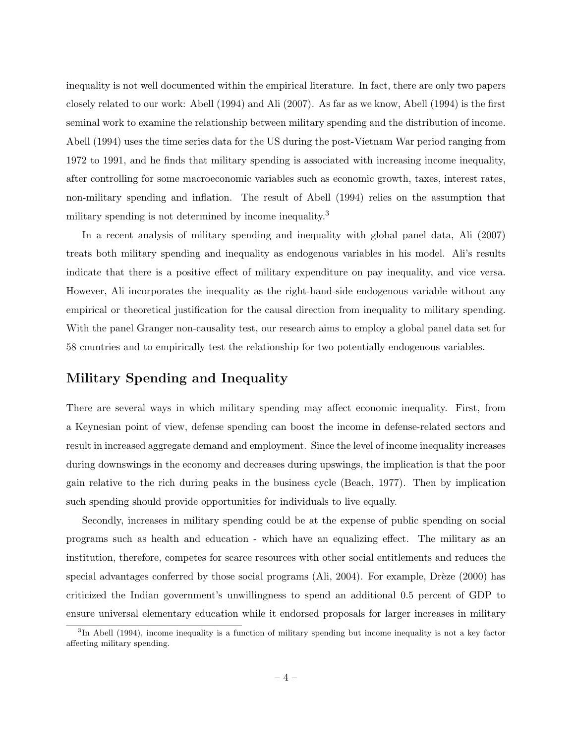inequality is not well documented within the empirical literature. In fact, there are only two papers closely related to our work: Abell (1994) and Ali (2007). As far as we know, Abell (1994) is the first seminal work to examine the relationship between military spending and the distribution of income. Abell (1994) uses the time series data for the US during the post-Vietnam War period ranging from 1972 to 1991, and he finds that military spending is associated with increasing income inequality, after controlling for some macroeconomic variables such as economic growth, taxes, interest rates, non-military spending and inflation. The result of Abell (1994) relies on the assumption that military spending is not determined by income inequality.<sup>3</sup>

In a recent analysis of military spending and inequality with global panel data, Ali (2007) treats both military spending and inequality as endogenous variables in his model. Ali's results indicate that there is a positive effect of military expenditure on pay inequality, and vice versa. However, Ali incorporates the inequality as the right-hand-side endogenous variable without any empirical or theoretical justification for the causal direction from inequality to military spending. With the panel Granger non-causality test, our research aims to employ a global panel data set for 58 countries and to empirically test the relationship for two potentially endogenous variables.

## Military Spending and Inequality

There are several ways in which military spending may affect economic inequality. First, from a Keynesian point of view, defense spending can boost the income in defense-related sectors and result in increased aggregate demand and employment. Since the level of income inequality increases during downswings in the economy and decreases during upswings, the implication is that the poor gain relative to the rich during peaks in the business cycle (Beach, 1977). Then by implication such spending should provide opportunities for individuals to live equally.

Secondly, increases in military spending could be at the expense of public spending on social programs such as health and education - which have an equalizing effect. The military as an institution, therefore, competes for scarce resources with other social entitlements and reduces the special advantages conferred by those social programs  $(Ali, 2004)$ . For example, Drèze  $(2000)$  has criticized the Indian government's unwillingness to spend an additional 0.5 percent of GDP to ensure universal elementary education while it endorsed proposals for larger increases in military

<sup>&</sup>lt;sup>3</sup>In Abell (1994), income inequality is a function of military spending but income inequality is not a key factor affecting military spending.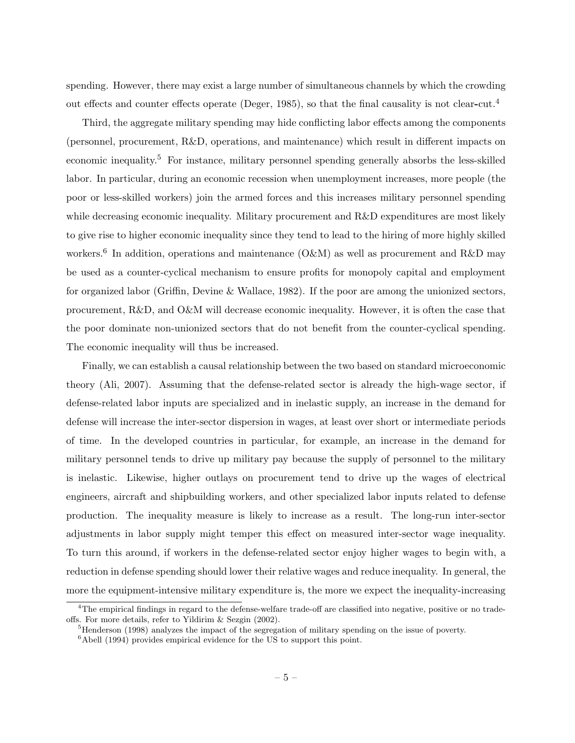spending. However, there may exist a large number of simultaneous channels by which the crowding out effects and counter effects operate (Deger, 1985), so that the final causality is not clear-cut.<sup>4</sup>

Third, the aggregate military spending may hide conflicting labor effects among the components (personnel, procurement, R&D, operations, and maintenance) which result in different impacts on economic inequality.<sup>5</sup> For instance, military personnel spending generally absorbs the less-skilled labor. In particular, during an economic recession when unemployment increases, more people (the poor or less-skilled workers) join the armed forces and this increases military personnel spending while decreasing economic inequality. Military procurement and R&D expenditures are most likely to give rise to higher economic inequality since they tend to lead to the hiring of more highly skilled workers.<sup>6</sup> In addition, operations and maintenance (O&M) as well as procurement and R&D may be used as a counter-cyclical mechanism to ensure profits for monopoly capital and employment for organized labor (Griffin, Devine & Wallace, 1982). If the poor are among the unionized sectors, procurement, R&D, and O&M will decrease economic inequality. However, it is often the case that the poor dominate non-unionized sectors that do not benefit from the counter-cyclical spending. The economic inequality will thus be increased.

Finally, we can establish a causal relationship between the two based on standard microeconomic theory (Ali, 2007). Assuming that the defense-related sector is already the high-wage sector, if defense-related labor inputs are specialized and in inelastic supply, an increase in the demand for defense will increase the inter-sector dispersion in wages, at least over short or intermediate periods of time. In the developed countries in particular, for example, an increase in the demand for military personnel tends to drive up military pay because the supply of personnel to the military is inelastic. Likewise, higher outlays on procurement tend to drive up the wages of electrical engineers, aircraft and shipbuilding workers, and other specialized labor inputs related to defense production. The inequality measure is likely to increase as a result. The long-run inter-sector adjustments in labor supply might temper this effect on measured inter-sector wage inequality. To turn this around, if workers in the defense-related sector enjoy higher wages to begin with, a reduction in defense spending should lower their relative wages and reduce inequality. In general, the more the equipment-intensive military expenditure is, the more we expect the inequality-increasing

 $4$ The empirical findings in regard to the defense-welfare trade-off are classified into negative, positive or no tradeoffs. For more details, refer to Yildirim & Sezgin (2002).

<sup>&</sup>lt;sup>5</sup>Henderson (1998) analyzes the impact of the segregation of military spending on the issue of poverty.

<sup>&</sup>lt;sup>6</sup>Abell (1994) provides empirical evidence for the US to support this point.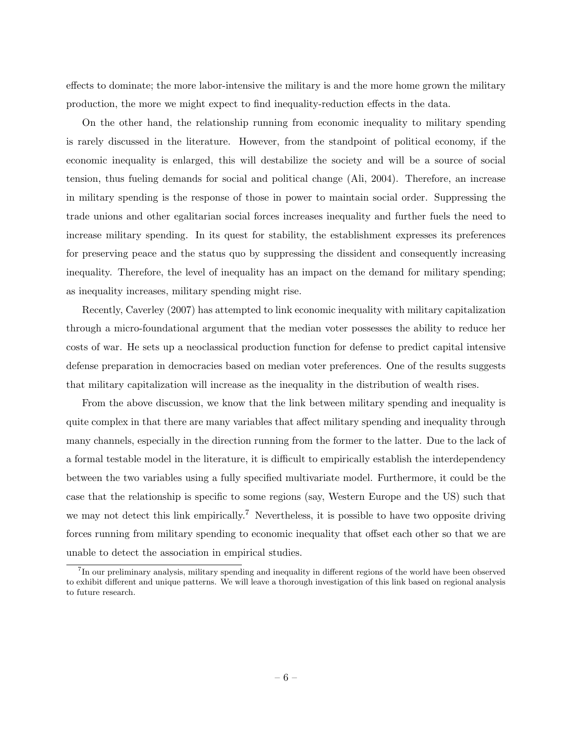effects to dominate; the more labor-intensive the military is and the more home grown the military production, the more we might expect to find inequality-reduction effects in the data.

On the other hand, the relationship running from economic inequality to military spending is rarely discussed in the literature. However, from the standpoint of political economy, if the economic inequality is enlarged, this will destabilize the society and will be a source of social tension, thus fueling demands for social and political change (Ali, 2004). Therefore, an increase in military spending is the response of those in power to maintain social order. Suppressing the trade unions and other egalitarian social forces increases inequality and further fuels the need to increase military spending. In its quest for stability, the establishment expresses its preferences for preserving peace and the status quo by suppressing the dissident and consequently increasing inequality. Therefore, the level of inequality has an impact on the demand for military spending; as inequality increases, military spending might rise.

Recently, Caverley (2007) has attempted to link economic inequality with military capitalization through a micro-foundational argument that the median voter possesses the ability to reduce her costs of war. He sets up a neoclassical production function for defense to predict capital intensive defense preparation in democracies based on median voter preferences. One of the results suggests that military capitalization will increase as the inequality in the distribution of wealth rises.

From the above discussion, we know that the link between military spending and inequality is quite complex in that there are many variables that affect military spending and inequality through many channels, especially in the direction running from the former to the latter. Due to the lack of a formal testable model in the literature, it is difficult to empirically establish the interdependency between the two variables using a fully specified multivariate model. Furthermore, it could be the case that the relationship is specific to some regions (say, Western Europe and the US) such that we may not detect this link empirically.<sup>7</sup> Nevertheless, it is possible to have two opposite driving forces running from military spending to economic inequality that offset each other so that we are unable to detect the association in empirical studies.

<sup>&</sup>lt;sup>7</sup>In our preliminary analysis, military spending and inequality in different regions of the world have been observed to exhibit different and unique patterns. We will leave a thorough investigation of this link based on regional analysis to future research.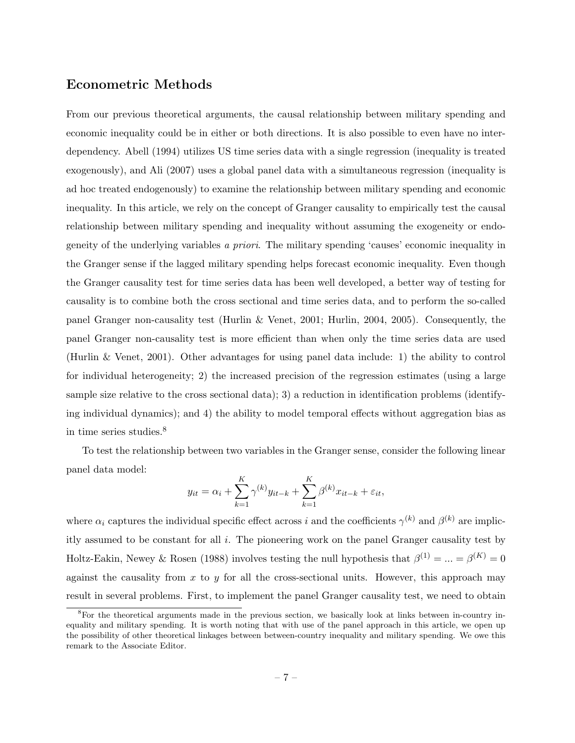## Econometric Methods

From our previous theoretical arguments, the causal relationship between military spending and economic inequality could be in either or both directions. It is also possible to even have no interdependency. Abell (1994) utilizes US time series data with a single regression (inequality is treated exogenously), and Ali (2007) uses a global panel data with a simultaneous regression (inequality is ad hoc treated endogenously) to examine the relationship between military spending and economic inequality. In this article, we rely on the concept of Granger causality to empirically test the causal relationship between military spending and inequality without assuming the exogeneity or endogeneity of the underlying variables a priori. The military spending 'causes' economic inequality in the Granger sense if the lagged military spending helps forecast economic inequality. Even though the Granger causality test for time series data has been well developed, a better way of testing for causality is to combine both the cross sectional and time series data, and to perform the so-called panel Granger non-causality test (Hurlin & Venet, 2001; Hurlin, 2004, 2005). Consequently, the panel Granger non-causality test is more efficient than when only the time series data are used (Hurlin & Venet, 2001). Other advantages for using panel data include: 1) the ability to control for individual heterogeneity; 2) the increased precision of the regression estimates (using a large sample size relative to the cross sectional data); 3) a reduction in identification problems (identifying individual dynamics); and 4) the ability to model temporal effects without aggregation bias as in time series studies.<sup>8</sup>

To test the relationship between two variables in the Granger sense, consider the following linear panel data model:

$$
y_{it} = \alpha_i + \sum_{k=1}^{K} \gamma^{(k)} y_{it-k} + \sum_{k=1}^{K} \beta^{(k)} x_{it-k} + \varepsilon_{it},
$$

where  $\alpha_i$  captures the individual specific effect across i and the coefficients  $\gamma^{(k)}$  and  $\beta^{(k)}$  are implicitly assumed to be constant for all i. The pioneering work on the panel Granger causality test by Holtz-Eakin, Newey & Rosen (1988) involves testing the null hypothesis that  $\beta^{(1)} = ... = \beta^{(K)} = 0$ against the causality from  $x$  to  $y$  for all the cross-sectional units. However, this approach may result in several problems. First, to implement the panel Granger causality test, we need to obtain

<sup>8</sup>For the theoretical arguments made in the previous section, we basically look at links between in-country inequality and military spending. It is worth noting that with use of the panel approach in this article, we open up the possibility of other theoretical linkages between between-country inequality and military spending. We owe this remark to the Associate Editor.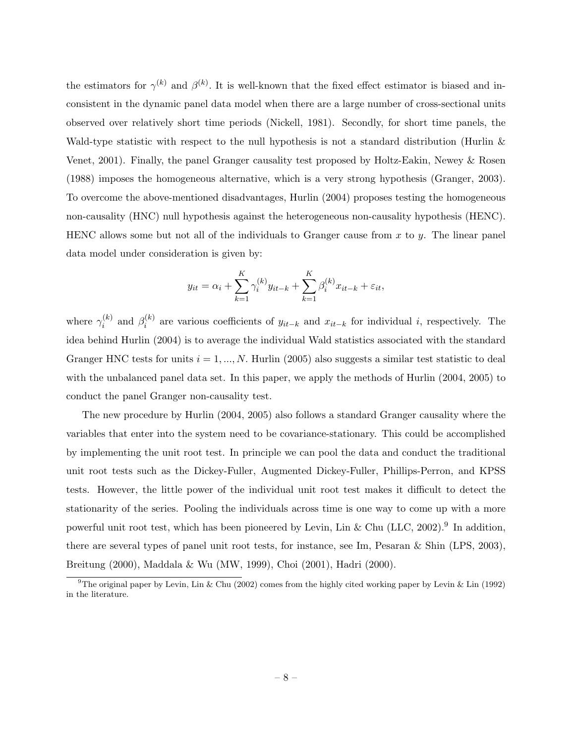the estimators for  $\gamma^{(k)}$  and  $\beta^{(k)}$ . It is well-known that the fixed effect estimator is biased and inconsistent in the dynamic panel data model when there are a large number of cross-sectional units observed over relatively short time periods (Nickell, 1981). Secondly, for short time panels, the Wald-type statistic with respect to the null hypothesis is not a standard distribution (Hurlin & Venet, 2001). Finally, the panel Granger causality test proposed by Holtz-Eakin, Newey & Rosen (1988) imposes the homogeneous alternative, which is a very strong hypothesis (Granger, 2003). To overcome the above-mentioned disadvantages, Hurlin (2004) proposes testing the homogeneous non-causality (HNC) null hypothesis against the heterogeneous non-causality hypothesis (HENC). HENC allows some but not all of the individuals to Granger cause from x to y. The linear panel data model under consideration is given by:

$$
y_{it} = \alpha_i + \sum_{k=1}^{K} \gamma_i^{(k)} y_{it-k} + \sum_{k=1}^{K} \beta_i^{(k)} x_{it-k} + \varepsilon_{it},
$$

where  $\gamma_i^{(k)}$  $\binom{k}{i}$  and  $\beta_i^{(k)}$  $i_i^{(k)}$  are various coefficients of  $y_{it-k}$  and  $x_{it-k}$  for individual i, respectively. The idea behind Hurlin (2004) is to average the individual Wald statistics associated with the standard Granger HNC tests for units  $i = 1, ..., N$ . Hurlin (2005) also suggests a similar test statistic to deal with the unbalanced panel data set. In this paper, we apply the methods of Hurlin (2004, 2005) to conduct the panel Granger non-causality test.

The new procedure by Hurlin (2004, 2005) also follows a standard Granger causality where the variables that enter into the system need to be covariance-stationary. This could be accomplished by implementing the unit root test. In principle we can pool the data and conduct the traditional unit root tests such as the Dickey-Fuller, Augmented Dickey-Fuller, Phillips-Perron, and KPSS tests. However, the little power of the individual unit root test makes it difficult to detect the stationarity of the series. Pooling the individuals across time is one way to come up with a more powerful unit root test, which has been pioneered by Levin, Lin & Chu (LLC, 2002).<sup>9</sup> In addition, there are several types of panel unit root tests, for instance, see Im, Pesaran & Shin (LPS, 2003), Breitung (2000), Maddala & Wu (MW, 1999), Choi (2001), Hadri (2000).

<sup>&</sup>lt;sup>9</sup>The original paper by Levin, Lin & Chu (2002) comes from the highly cited working paper by Levin & Lin (1992) in the literature.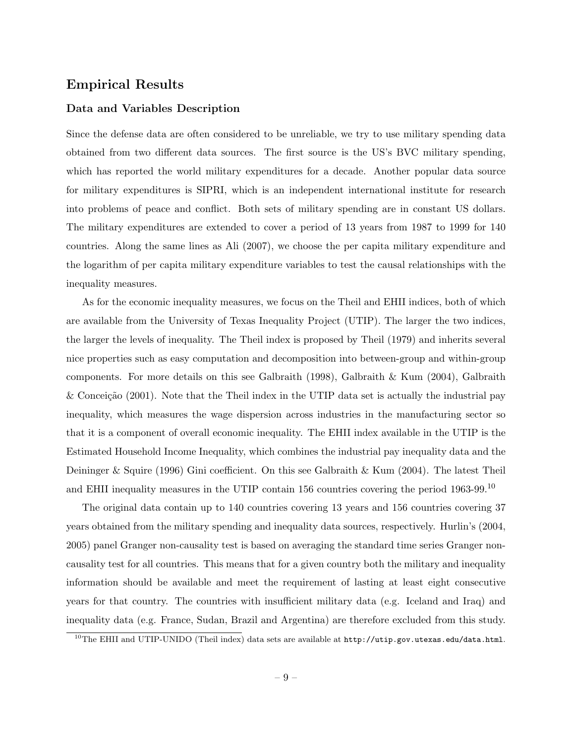## Empirical Results

#### Data and Variables Description

Since the defense data are often considered to be unreliable, we try to use military spending data obtained from two different data sources. The first source is the US's BVC military spending, which has reported the world military expenditures for a decade. Another popular data source for military expenditures is SIPRI, which is an independent international institute for research into problems of peace and conflict. Both sets of military spending are in constant US dollars. The military expenditures are extended to cover a period of 13 years from 1987 to 1999 for 140 countries. Along the same lines as Ali (2007), we choose the per capita military expenditure and the logarithm of per capita military expenditure variables to test the causal relationships with the inequality measures.

As for the economic inequality measures, we focus on the Theil and EHII indices, both of which are available from the University of Texas Inequality Project (UTIP). The larger the two indices, the larger the levels of inequality. The Theil index is proposed by Theil (1979) and inherits several nice properties such as easy computation and decomposition into between-group and within-group components. For more details on this see Galbraith (1998), Galbraith  $\&$  Kum (2004), Galbraith  $&$  Conceição (2001). Note that the Theil index in the UTIP data set is actually the industrial pay inequality, which measures the wage dispersion across industries in the manufacturing sector so that it is a component of overall economic inequality. The EHII index available in the UTIP is the Estimated Household Income Inequality, which combines the industrial pay inequality data and the Deininger & Squire (1996) Gini coefficient. On this see Galbraith & Kum (2004). The latest Theil and EHII inequality measures in the UTIP contain 156 countries covering the period 1963-99.<sup>10</sup>

The original data contain up to 140 countries covering 13 years and 156 countries covering 37 years obtained from the military spending and inequality data sources, respectively. Hurlin's (2004, 2005) panel Granger non-causality test is based on averaging the standard time series Granger noncausality test for all countries. This means that for a given country both the military and inequality information should be available and meet the requirement of lasting at least eight consecutive years for that country. The countries with insufficient military data (e.g. Iceland and Iraq) and inequality data (e.g. France, Sudan, Brazil and Argentina) are therefore excluded from this study.

<sup>&</sup>lt;sup>10</sup>The EHII and UTIP-UNIDO (Theil index) data sets are available at http://utip.gov.utexas.edu/data.html.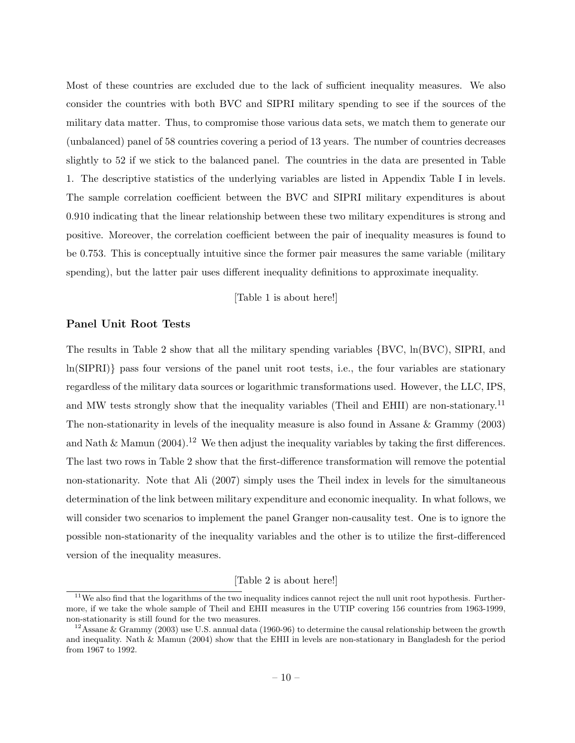Most of these countries are excluded due to the lack of sufficient inequality measures. We also consider the countries with both BVC and SIPRI military spending to see if the sources of the military data matter. Thus, to compromise those various data sets, we match them to generate our (unbalanced) panel of 58 countries covering a period of 13 years. The number of countries decreases slightly to 52 if we stick to the balanced panel. The countries in the data are presented in Table 1. The descriptive statistics of the underlying variables are listed in Appendix Table I in levels. The sample correlation coefficient between the BVC and SIPRI military expenditures is about 0.910 indicating that the linear relationship between these two military expenditures is strong and positive. Moreover, the correlation coefficient between the pair of inequality measures is found to be 0.753. This is conceptually intuitive since the former pair measures the same variable (military spending), but the latter pair uses different inequality definitions to approximate inequality.

[Table 1 is about here!]

#### Panel Unit Root Tests

The results in Table 2 show that all the military spending variables {BVC, ln(BVC), SIPRI, and ln(SIPRI)} pass four versions of the panel unit root tests, i.e., the four variables are stationary regardless of the military data sources or logarithmic transformations used. However, the LLC, IPS, and MW tests strongly show that the inequality variables (Theil and EHII) are non-stationary.<sup>11</sup> The non-stationarity in levels of the inequality measure is also found in Assane & Grammy (2003) and Nath & Mamun  $(2004).^{12}$  We then adjust the inequality variables by taking the first differences. The last two rows in Table 2 show that the first-difference transformation will remove the potential non-stationarity. Note that Ali (2007) simply uses the Theil index in levels for the simultaneous determination of the link between military expenditure and economic inequality. In what follows, we will consider two scenarios to implement the panel Granger non-causality test. One is to ignore the possible non-stationarity of the inequality variables and the other is to utilize the first-differenced version of the inequality measures.

#### [Table 2 is about here!]

 $11$ We also find that the logarithms of the two inequality indices cannot reject the null unit root hypothesis. Furthermore, if we take the whole sample of Theil and EHII measures in the UTIP covering 156 countries from 1963-1999, non-stationarity is still found for the two measures.

<sup>&</sup>lt;sup>12</sup>Assane & Grammy (2003) use U.S. annual data (1960-96) to determine the causal relationship between the growth and inequality. Nath & Mamun (2004) show that the EHII in levels are non-stationary in Bangladesh for the period from 1967 to 1992.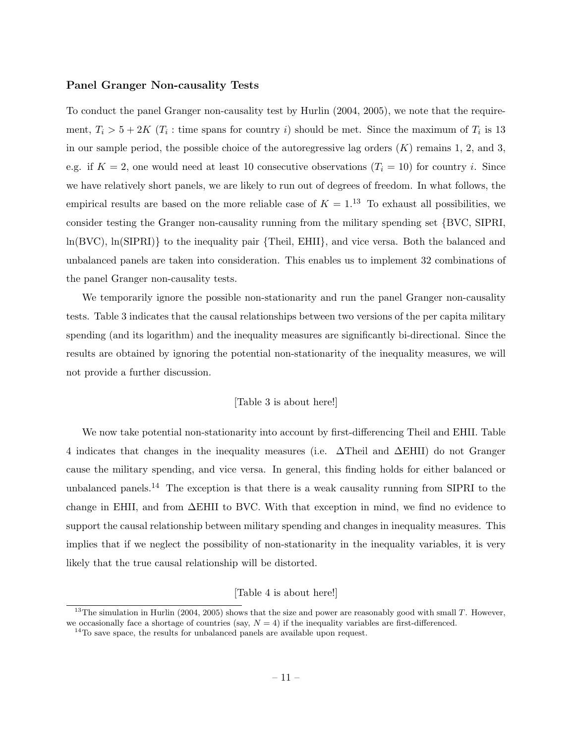#### Panel Granger Non-causality Tests

To conduct the panel Granger non-causality test by Hurlin (2004, 2005), we note that the requirement,  $T_i > 5 + 2K$  ( $T_i$ : time spans for country i) should be met. Since the maximum of  $T_i$  is 13 in our sample period, the possible choice of the autoregressive lag orders  $(K)$  remains 1, 2, and 3, e.g. if  $K = 2$ , one would need at least 10 consecutive observations  $(T<sub>i</sub> = 10)$  for country *i*. Since we have relatively short panels, we are likely to run out of degrees of freedom. In what follows, the empirical results are based on the more reliable case of  $K = 1<sup>13</sup>$  To exhaust all possibilities, we consider testing the Granger non-causality running from the military spending set {BVC, SIPRI, ln(BVC), ln(SIPRI)} to the inequality pair {Theil, EHII}, and vice versa. Both the balanced and unbalanced panels are taken into consideration. This enables us to implement 32 combinations of the panel Granger non-causality tests.

We temporarily ignore the possible non-stationarity and run the panel Granger non-causality tests. Table 3 indicates that the causal relationships between two versions of the per capita military spending (and its logarithm) and the inequality measures are significantly bi-directional. Since the results are obtained by ignoring the potential non-stationarity of the inequality measures, we will not provide a further discussion.

#### [Table 3 is about here!]

We now take potential non-stationarity into account by first-differencing Theil and EHII. Table 4 indicates that changes in the inequality measures (i.e. ∆Theil and ∆EHII) do not Granger cause the military spending, and vice versa. In general, this finding holds for either balanced or unbalanced panels.<sup>14</sup> The exception is that there is a weak causality running from SIPRI to the change in EHII, and from ∆EHII to BVC. With that exception in mind, we find no evidence to support the causal relationship between military spending and changes in inequality measures. This implies that if we neglect the possibility of non-stationarity in the inequality variables, it is very likely that the true causal relationship will be distorted.

#### [Table 4 is about here!]

<sup>&</sup>lt;sup>13</sup>The simulation in Hurlin (2004, 2005) shows that the size and power are reasonably good with small T. However, we occasionally face a shortage of countries (say,  $N = 4$ ) if the inequality variables are first-differenced.

 $^{14}{\rm To}$  save space, the results for unbalanced panels are available upon request.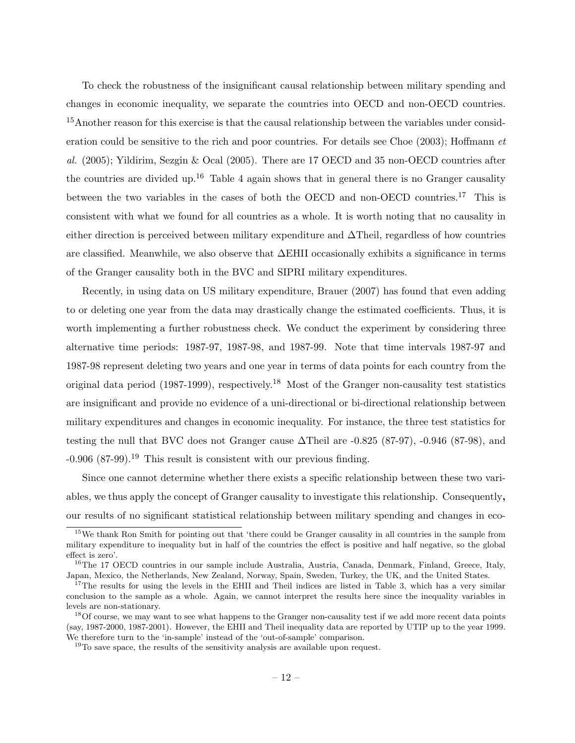To check the robustness of the insignificant causal relationship between military spending and changes in economic inequality, we separate the countries into OECD and non-OECD countries. <sup>15</sup>Another reason for this exercise is that the causal relationship between the variables under consideration could be sensitive to the rich and poor countries. For details see Choe  $(2003)$ ; Hoffmann  $et$ al. (2005); Yildirim, Sezgin & Ocal (2005). There are 17 OECD and 35 non-OECD countries after the countries are divided up.<sup>16</sup> Table 4 again shows that in general there is no Granger causality between the two variables in the cases of both the OECD and non-OECD countries.<sup>17</sup> This is consistent with what we found for all countries as a whole. It is worth noting that no causality in either direction is perceived between military expenditure and  $\Delta$ Theil, regardless of how countries are classified. Meanwhile, we also observe that ∆EHII occasionally exhibits a significance in terms of the Granger causality both in the BVC and SIPRI military expenditures.

Recently, in using data on US military expenditure, Brauer (2007) has found that even adding to or deleting one year from the data may drastically change the estimated coefficients. Thus, it is worth implementing a further robustness check. We conduct the experiment by considering three alternative time periods: 1987-97, 1987-98, and 1987-99. Note that time intervals 1987-97 and 1987-98 represent deleting two years and one year in terms of data points for each country from the original data period (1987-1999), respectively.<sup>18</sup> Most of the Granger non-causality test statistics are insignificant and provide no evidence of a uni-directional or bi-directional relationship between military expenditures and changes in economic inequality. For instance, the three test statistics for testing the null that BVC does not Granger cause ∆Theil are -0.825 (87-97), -0.946 (87-98), and  $-0.906$  (87-99).<sup>19</sup> This result is consistent with our previous finding.

Since one cannot determine whether there exists a specific relationship between these two variables, we thus apply the concept of Granger causality to investigate this relationship. Consequently, our results of no significant statistical relationship between military spending and changes in eco-

<sup>&</sup>lt;sup>15</sup>We thank Ron Smith for pointing out that 'there could be Granger causality in all countries in the sample from military expenditure to inequality but in half of the countries the effect is positive and half negative, so the global effect is zero'.

<sup>&</sup>lt;sup>16</sup>The 17 OECD countries in our sample include Australia, Austria, Canada, Denmark, Finland, Greece, Italy, Japan, Mexico, the Netherlands, New Zealand, Norway, Spain, Sweden, Turkey, the UK, and the United States.

<sup>&</sup>lt;sup>17</sup>The results for using the levels in the EHII and Theil indices are listed in Table 3, which has a very similar conclusion to the sample as a whole. Again, we cannot interpret the results here since the inequality variables in levels are non-stationary.

<sup>&</sup>lt;sup>18</sup>Of course, we may want to see what happens to the Granger non-causality test if we add more recent data points (say, 1987-2000, 1987-2001). However, the EHII and Theil inequality data are reported by UTIP up to the year 1999. We therefore turn to the 'in-sample' instead of the 'out-of-sample' comparison.

 $19$ To save space, the results of the sensitivity analysis are available upon request.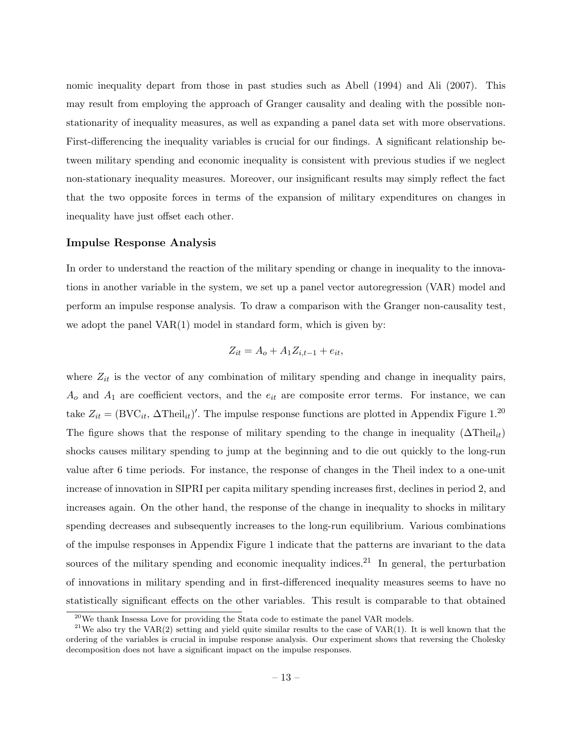nomic inequality depart from those in past studies such as Abell (1994) and Ali (2007). This may result from employing the approach of Granger causality and dealing with the possible nonstationarity of inequality measures, as well as expanding a panel data set with more observations. First-differencing the inequality variables is crucial for our findings. A significant relationship between military spending and economic inequality is consistent with previous studies if we neglect non-stationary inequality measures. Moreover, our insignificant results may simply reflect the fact that the two opposite forces in terms of the expansion of military expenditures on changes in inequality have just offset each other.

#### Impulse Response Analysis

In order to understand the reaction of the military spending or change in inequality to the innovations in another variable in the system, we set up a panel vector autoregression (VAR) model and perform an impulse response analysis. To draw a comparison with the Granger non-causality test, we adopt the panel  $VAR(1)$  model in standard form, which is given by:

$$
Z_{it} = A_o + A_1 Z_{i,t-1} + e_{it},
$$

where  $Z_{it}$  is the vector of any combination of military spending and change in inequality pairs,  $A_0$  and  $A_1$  are coefficient vectors, and the  $e_{it}$  are composite error terms. For instance, we can take  $Z_{it} = (BVC_{it}, \Delta)$ Theil<sub>it</sub>)'. The impulse response functions are plotted in Appendix Figure 1.<sup>20</sup> The figure shows that the response of military spending to the change in inequality  $(\Delta \text{Theil}_{it})$ shocks causes military spending to jump at the beginning and to die out quickly to the long-run value after 6 time periods. For instance, the response of changes in the Theil index to a one-unit increase of innovation in SIPRI per capita military spending increases first, declines in period 2, and increases again. On the other hand, the response of the change in inequality to shocks in military spending decreases and subsequently increases to the long-run equilibrium. Various combinations of the impulse responses in Appendix Figure 1 indicate that the patterns are invariant to the data sources of the military spending and economic inequality indices.<sup>21</sup> In general, the perturbation of innovations in military spending and in first-differenced inequality measures seems to have no statistically significant effects on the other variables. This result is comparable to that obtained

 $^{20}$ We thank Insessa Love for providing the Stata code to estimate the panel VAR models.

<sup>&</sup>lt;sup>21</sup>We also try the VAR(2) setting and yield quite similar results to the case of VAR(1). It is well known that the ordering of the variables is crucial in impulse response analysis. Our experiment shows that reversing the Cholesky decomposition does not have a significant impact on the impulse responses.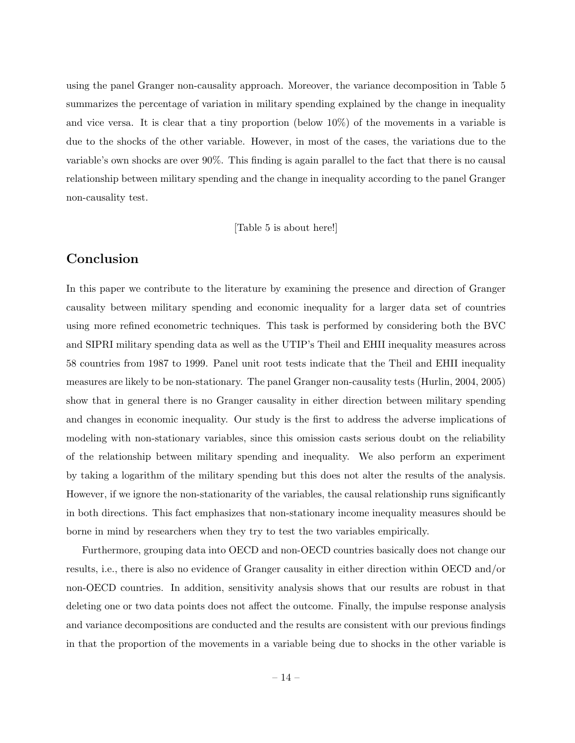using the panel Granger non-causality approach. Moreover, the variance decomposition in Table 5 summarizes the percentage of variation in military spending explained by the change in inequality and vice versa. It is clear that a tiny proportion (below  $10\%$ ) of the movements in a variable is due to the shocks of the other variable. However, in most of the cases, the variations due to the variable's own shocks are over 90%. This finding is again parallel to the fact that there is no causal relationship between military spending and the change in inequality according to the panel Granger non-causality test.

[Table 5 is about here!]

## Conclusion

In this paper we contribute to the literature by examining the presence and direction of Granger causality between military spending and economic inequality for a larger data set of countries using more refined econometric techniques. This task is performed by considering both the BVC and SIPRI military spending data as well as the UTIP's Theil and EHII inequality measures across 58 countries from 1987 to 1999. Panel unit root tests indicate that the Theil and EHII inequality measures are likely to be non-stationary. The panel Granger non-causality tests (Hurlin, 2004, 2005) show that in general there is no Granger causality in either direction between military spending and changes in economic inequality. Our study is the first to address the adverse implications of modeling with non-stationary variables, since this omission casts serious doubt on the reliability of the relationship between military spending and inequality. We also perform an experiment by taking a logarithm of the military spending but this does not alter the results of the analysis. However, if we ignore the non-stationarity of the variables, the causal relationship runs significantly in both directions. This fact emphasizes that non-stationary income inequality measures should be borne in mind by researchers when they try to test the two variables empirically.

Furthermore, grouping data into OECD and non-OECD countries basically does not change our results, i.e., there is also no evidence of Granger causality in either direction within OECD and/or non-OECD countries. In addition, sensitivity analysis shows that our results are robust in that deleting one or two data points does not affect the outcome. Finally, the impulse response analysis and variance decompositions are conducted and the results are consistent with our previous findings in that the proportion of the movements in a variable being due to shocks in the other variable is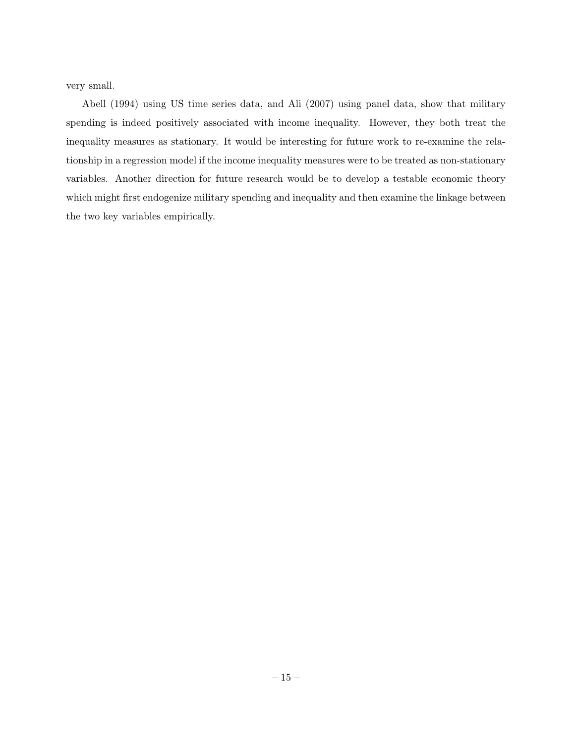very small.

Abell (1994) using US time series data, and Ali (2007) using panel data, show that military spending is indeed positively associated with income inequality. However, they both treat the inequality measures as stationary. It would be interesting for future work to re-examine the relationship in a regression model if the income inequality measures were to be treated as non-stationary variables. Another direction for future research would be to develop a testable economic theory which might first endogenize military spending and inequality and then examine the linkage between the two key variables empirically.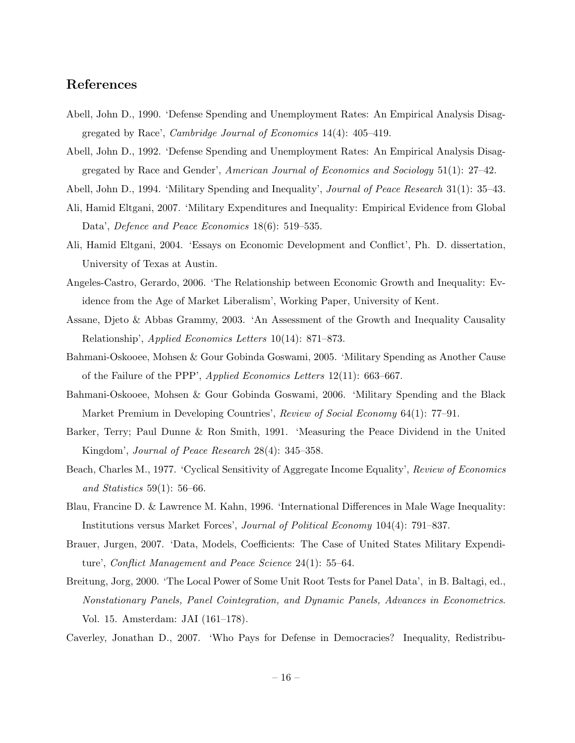#### References

- Abell, John D., 1990. 'Defense Spending and Unemployment Rates: An Empirical Analysis Disaggregated by Race', Cambridge Journal of Economics 14(4): 405–419.
- Abell, John D., 1992. 'Defense Spending and Unemployment Rates: An Empirical Analysis Disaggregated by Race and Gender', American Journal of Economics and Sociology 51(1): 27–42.

Abell, John D., 1994. 'Military Spending and Inequality', Journal of Peace Research 31(1): 35–43.

- Ali, Hamid Eltgani, 2007. 'Military Expenditures and Inequality: Empirical Evidence from Global Data', *Defence and Peace Economics* 18(6): 519–535.
- Ali, Hamid Eltgani, 2004. 'Essays on Economic Development and Conflict', Ph. D. dissertation, University of Texas at Austin.
- Angeles-Castro, Gerardo, 2006. 'The Relationship between Economic Growth and Inequality: Evidence from the Age of Market Liberalism', Working Paper, University of Kent.
- Assane, Djeto & Abbas Grammy, 2003. 'An Assessment of the Growth and Inequality Causality Relationship', Applied Economics Letters 10(14): 871–873.
- Bahmani-Oskooee, Mohsen & Gour Gobinda Goswami, 2005. 'Military Spending as Another Cause of the Failure of the PPP', Applied Economics Letters 12(11): 663–667.
- Bahmani-Oskooee, Mohsen & Gour Gobinda Goswami, 2006. 'Military Spending and the Black Market Premium in Developing Countries', Review of Social Economy 64(1): 77–91.
- Barker, Terry; Paul Dunne & Ron Smith, 1991. 'Measuring the Peace Dividend in the United Kingdom', Journal of Peace Research 28(4): 345–358.
- Beach, Charles M., 1977. 'Cyclical Sensitivity of Aggregate Income Equality', Review of Economics and Statistics  $59(1)$ : 56–66.
- Blau, Francine D. & Lawrence M. Kahn, 1996. 'International Differences in Male Wage Inequality: Institutions versus Market Forces', Journal of Political Economy 104(4): 791–837.
- Brauer, Jurgen, 2007. 'Data, Models, Coefficients: The Case of United States Military Expenditure', Conflict Management and Peace Science 24(1): 55–64.
- Breitung, Jorg, 2000. 'The Local Power of Some Unit Root Tests for Panel Data', in B. Baltagi, ed., Nonstationary Panels, Panel Cointegration, and Dynamic Panels, Advances in Econometrics. Vol. 15. Amsterdam: JAI (161–178).
- Caverley, Jonathan D., 2007. 'Who Pays for Defense in Democracies? Inequality, Redistribu-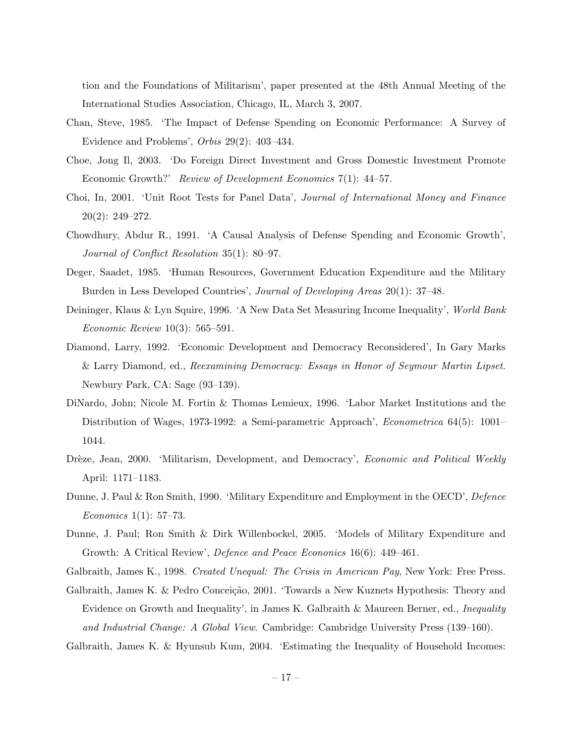tion and the Foundations of Militarism', paper presented at the 48th Annual Meeting of the International Studies Association, Chicago, IL, March 3, 2007.

- Chan, Steve, 1985. 'The Impact of Defense Spending on Economic Performance: A Survey of Evidence and Problems', Orbis 29(2): 403–434.
- Choe, Jong Il, 2003. 'Do Foreign Direct Investment and Gross Domestic Investment Promote Economic Growth?' *Review of Development Economics* 7(1): 44–57.
- Choi, In, 2001. 'Unit Root Tests for Panel Data', Journal of International Money and Finance 20(2): 249–272.
- Chowdhury, Abdur R., 1991. 'A Causal Analysis of Defense Spending and Economic Growth', Journal of Conflict Resolution 35(1): 80–97.
- Deger, Saadet, 1985. 'Human Resources, Government Education Expenditure and the Military Burden in Less Developed Countries', Journal of Developing Areas 20(1): 37–48.
- Deininger, Klaus & Lyn Squire, 1996. 'A New Data Set Measuring Income Inequality', World Bank Economic Review 10(3): 565–591.
- Diamond, Larry, 1992. 'Economic Development and Democracy Reconsidered', In Gary Marks & Larry Diamond, ed., Reexamining Democracy: Essays in Honor of Seymour Martin Lipset. Newbury Park, CA: Sage (93–139).
- DiNardo, John; Nicole M. Fortin & Thomas Lemieux, 1996. 'Labor Market Institutions and the Distribution of Wages, 1973-1992: a Semi-parametric Approach', Econometrica 64(5): 1001– 1044.
- Drèze, Jean, 2000. 'Militarism, Development, and Democracy', *Economic and Political Weekly* April: 1171–1183.
- Dunne, J. Paul & Ron Smith, 1990. 'Military Expenditure and Employment in the OECD', Defence Econonics 1(1): 57–73.
- Dunne, J. Paul; Ron Smith & Dirk Willenbockel, 2005. 'Models of Military Expenditure and Growth: A Critical Review', Defence and Peace Econonics 16(6): 449–461.

Galbraith, James K., 1998. Created Unequal: The Crisis in American Pay, New York: Free Press.

Galbraith, James K. & Pedro Conceição, 2001. 'Towards a New Kuznets Hypothesis: Theory and Evidence on Growth and Inequality', in James K. Galbraith & Maureen Berner, ed., *Inequality* and Industrial Change: A Global View. Cambridge: Cambridge University Press (139–160).

Galbraith, James K. & Hyunsub Kum, 2004. 'Estimating the Inequality of Household Incomes: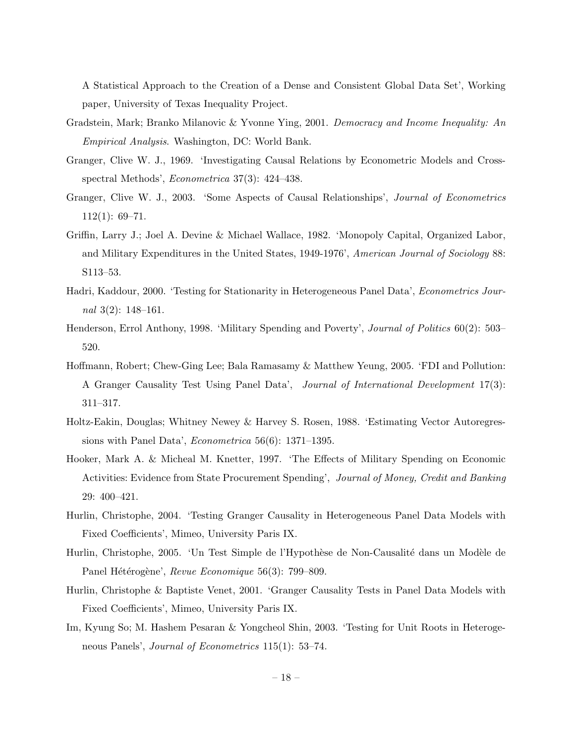A Statistical Approach to the Creation of a Dense and Consistent Global Data Set', Working paper, University of Texas Inequality Project.

- Gradstein, Mark; Branko Milanovic & Yvonne Ying, 2001. Democracy and Income Inequality: An Empirical Analysis. Washington, DC: World Bank.
- Granger, Clive W. J., 1969. 'Investigating Causal Relations by Econometric Models and Crossspectral Methods', Econometrica 37(3): 424–438.
- Granger, Clive W. J., 2003. 'Some Aspects of Causal Relationships', Journal of Econometrics  $112(1): 69-71.$
- Griffin, Larry J.; Joel A. Devine & Michael Wallace, 1982. 'Monopoly Capital, Organized Labor, and Military Expenditures in the United States, 1949-1976', American Journal of Sociology 88: S113–53.
- Hadri, Kaddour, 2000. 'Testing for Stationarity in Heterogeneous Panel Data', Econometrics Journal  $3(2)$ : 148-161.
- Henderson, Errol Anthony, 1998. 'Military Spending and Poverty', Journal of Politics 60(2): 503– 520.
- Hoffmann, Robert; Chew-Ging Lee; Bala Ramasamy & Matthew Yeung, 2005. 'FDI and Pollution: A Granger Causality Test Using Panel Data', Journal of International Development 17(3): 311–317.
- Holtz-Eakin, Douglas; Whitney Newey & Harvey S. Rosen, 1988. 'Estimating Vector Autoregressions with Panel Data', Econometrica 56(6): 1371–1395.
- Hooker, Mark A. & Micheal M. Knetter, 1997. 'The Effects of Military Spending on Economic Activities: Evidence from State Procurement Spending', *Journal of Money, Credit and Banking* 29: 400–421.
- Hurlin, Christophe, 2004. 'Testing Granger Causality in Heterogeneous Panel Data Models with Fixed Coefficients', Mimeo, University Paris IX.
- Hurlin, Christophe, 2005. 'Un Test Simple de l'Hypothèse de Non-Causalité dans un Modèle de Panel Hétérogène', Revue Economique 56(3): 799–809.
- Hurlin, Christophe & Baptiste Venet, 2001. 'Granger Causality Tests in Panel Data Models with Fixed Coefficients', Mimeo, University Paris IX.
- Im, Kyung So; M. Hashem Pesaran & Yongcheol Shin, 2003. 'Testing for Unit Roots in Heterogeneous Panels', Journal of Econometrics 115(1): 53–74.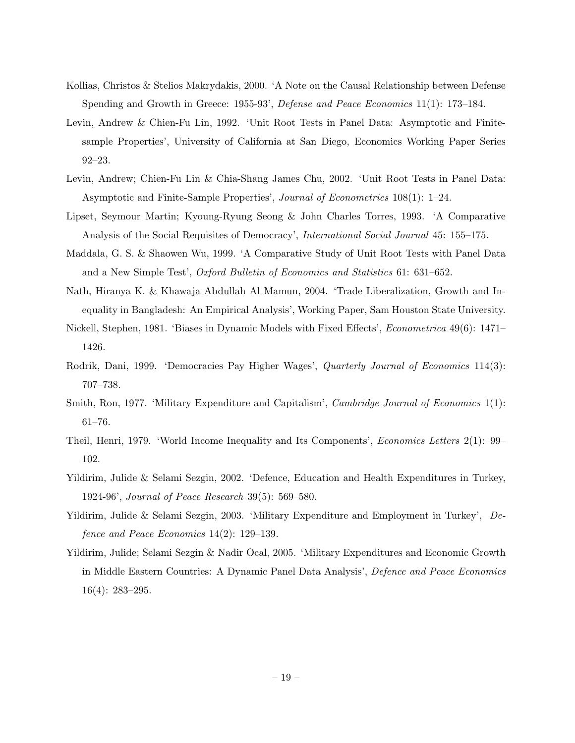- Kollias, Christos & Stelios Makrydakis, 2000. 'A Note on the Causal Relationship between Defense Spending and Growth in Greece: 1955-93', Defense and Peace Economics 11(1): 173–184.
- Levin, Andrew & Chien-Fu Lin, 1992. 'Unit Root Tests in Panel Data: Asymptotic and Finitesample Properties', University of California at San Diego, Economics Working Paper Series 92–23.
- Levin, Andrew; Chien-Fu Lin & Chia-Shang James Chu, 2002. 'Unit Root Tests in Panel Data: Asymptotic and Finite-Sample Properties', Journal of Econometrics 108(1): 1–24.
- Lipset, Seymour Martin; Kyoung-Ryung Seong & John Charles Torres, 1993. 'A Comparative Analysis of the Social Requisites of Democracy', *International Social Journal* 45: 155–175.
- Maddala, G. S. & Shaowen Wu, 1999. 'A Comparative Study of Unit Root Tests with Panel Data and a New Simple Test', Oxford Bulletin of Economics and Statistics 61: 631–652.
- Nath, Hiranya K. & Khawaja Abdullah Al Mamun, 2004. 'Trade Liberalization, Growth and Inequality in Bangladesh: An Empirical Analysis', Working Paper, Sam Houston State University.
- Nickell, Stephen, 1981. 'Biases in Dynamic Models with Fixed Effects', Econometrica 49(6): 1471– 1426.
- Rodrik, Dani, 1999. 'Democracies Pay Higher Wages', *Quarterly Journal of Economics* 114(3): 707–738.
- Smith, Ron, 1977. 'Military Expenditure and Capitalism', *Cambridge Journal of Economics* 1(1): 61–76.
- Theil, Henri, 1979. 'World Income Inequality and Its Components', Economics Letters 2(1): 99– 102.
- Yildirim, Julide & Selami Sezgin, 2002. 'Defence, Education and Health Expenditures in Turkey, 1924-96', Journal of Peace Research 39(5): 569–580.
- Yildirim, Julide & Selami Sezgin, 2003. 'Military Expenditure and Employment in Turkey', Defence and Peace Economics 14(2): 129–139.
- Yildirim, Julide; Selami Sezgin & Nadir Ocal, 2005. 'Military Expenditures and Economic Growth in Middle Eastern Countries: A Dynamic Panel Data Analysis', Defence and Peace Economics 16(4): 283–295.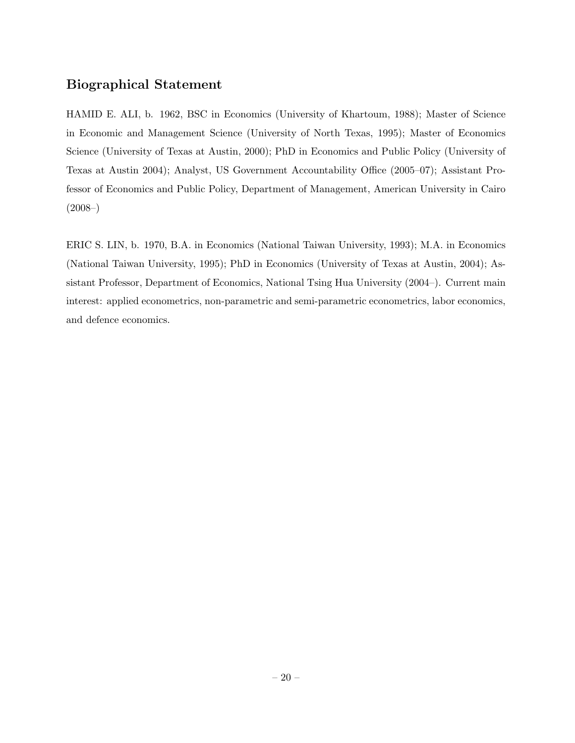## Biographical Statement

HAMID E. ALI, b. 1962, BSC in Economics (University of Khartoum, 1988); Master of Science in Economic and Management Science (University of North Texas, 1995); Master of Economics Science (University of Texas at Austin, 2000); PhD in Economics and Public Policy (University of Texas at Austin 2004); Analyst, US Government Accountability Office (2005–07); Assistant Professor of Economics and Public Policy, Department of Management, American University in Cairo  $(2008–)$ 

ERIC S. LIN, b. 1970, B.A. in Economics (National Taiwan University, 1993); M.A. in Economics (National Taiwan University, 1995); PhD in Economics (University of Texas at Austin, 2004); Assistant Professor, Department of Economics, National Tsing Hua University (2004–). Current main interest: applied econometrics, non-parametric and semi-parametric econometrics, labor economics, and defence economics.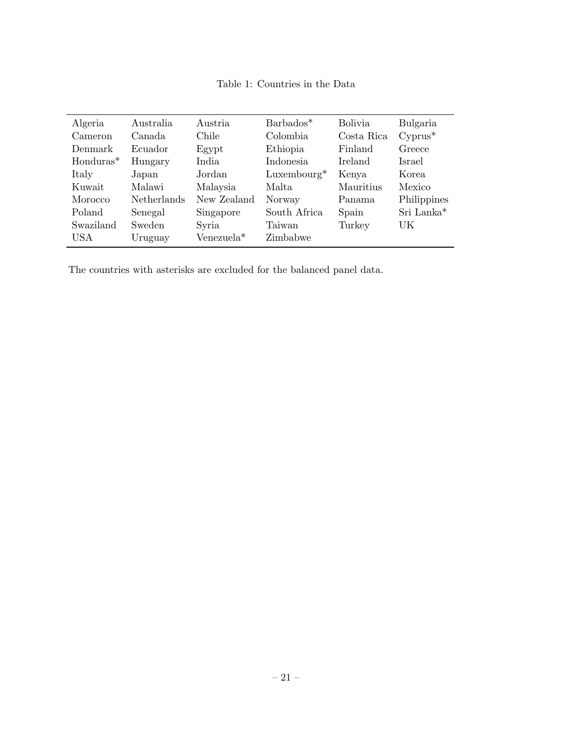| Table 1: Countries in the Data |  |
|--------------------------------|--|
|--------------------------------|--|

| Algeria                  | Australia   | Austria     | $Barbados*$   | <b>Bolivia</b> | Bulgaria               |
|--------------------------|-------------|-------------|---------------|----------------|------------------------|
| Cameron                  | Canada.     | Chile       | Colombia      | Costa Rica     | $Cyprus*$              |
| Denmark                  | Ecuador     | Egypt       | Ethiopia      | Finland        | Greece                 |
| $H$ onduras <sup>*</sup> | Hungary     | India       | Indonesia     | <b>Ireland</b> | Israel                 |
| Italy                    | Japan       | Jordan      | $Luxembourg*$ | Kenya          | Korea.                 |
| Kuwait                   | Malawi      | Malaysia    | Malta         | Mauritius      | Mexico                 |
| Morocco                  | Netherlands | New Zealand | Norway        | Panama         | Philippines            |
| Poland                   | Senegal     | Singapore   | South Africa  | Spain          | Sri Lanka <sup>*</sup> |
| Swaziland                | Sweden      | Syria       | Taiwan        | Turkey         | UK                     |
| USA                      | Uruguay     | Venezuela*  | Zimbabwe      |                |                        |

The countries with asterisks are excluded for the balanced panel data.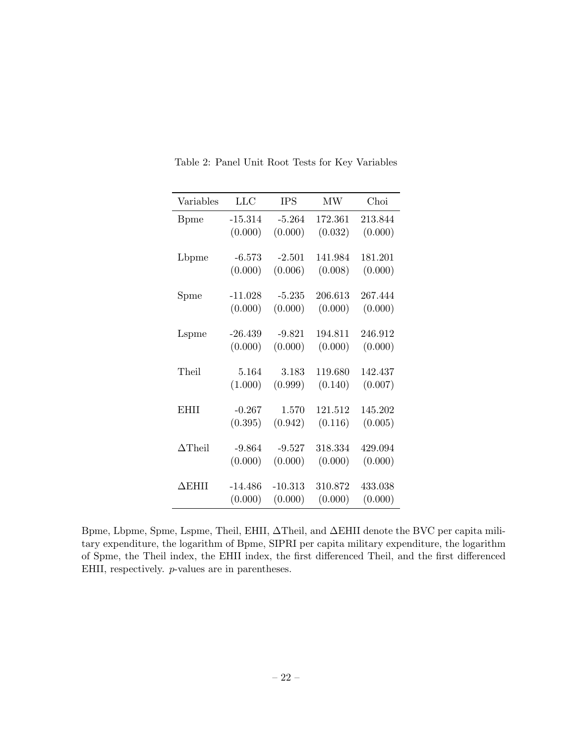| Variables               | <b>LLC</b>           | <b>IPS</b>          | МW                 | Choi               |
|-------------------------|----------------------|---------------------|--------------------|--------------------|
| <b>B</b> <sub>pme</sub> | $-15.314$            | $-5.264$            | 172.361            | 213.844            |
|                         | (0.000)              | (0.000)             | (0.032)            | (0.000)            |
| Lbpme                   | $-6.573$             | $-2.501$            | 141.984            | 181.201            |
|                         | (0.000)              | (0.006)             | (0.008)            | (0.000)            |
| Spme                    | $-11.028$            | $-5.235$            | 206.613            | 267.444            |
|                         | (0.000)              | (0.000)             | (0.000)            | (0.000)            |
|                         |                      |                     |                    |                    |
| Lspme                   | $-26.439$<br>(0.000) | $-9.821$<br>(0.000) | 194.811<br>(0.000) | 246.912<br>(0.000) |
|                         |                      |                     |                    |                    |
| Theil                   | 5.164                | 3.183               | 119.680            | 142.437            |
|                         | (1.000)              | (0.999)             | (0.140)            | (0.007)            |
| <b>EHII</b>             | $-0.267$             | 1.570               | 121.512            | 145.202            |
|                         | (0.395)              | (0.942)             | (0.116)            | (0.005)            |
| $\Delta$ Theil          | $-9.864$             | $-9.527$            | 318.334            | 429.094            |
|                         | (0.000)              | (0.000)             | (0.000)            | (0.000)            |
|                         |                      |                     |                    |                    |
| $\Delta$ EHII           | $-14.486$            | $-10.313$           | 310.872            | 433.038            |
|                         | (0.000)              | (0.000)             | (0.000)            | (0.000)            |

Table 2: Panel Unit Root Tests for Key Variables

Bpme, Lbpme, Spme, Lspme, Theil, EHII, ∆Theil, and ∆EHII denote the BVC per capita military expenditure, the logarithm of Bpme, SIPRI per capita military expenditure, the logarithm of Spme, the Theil index, the EHII index, the first differenced Theil, and the first differenced EHII, respectively. p-values are in parentheses.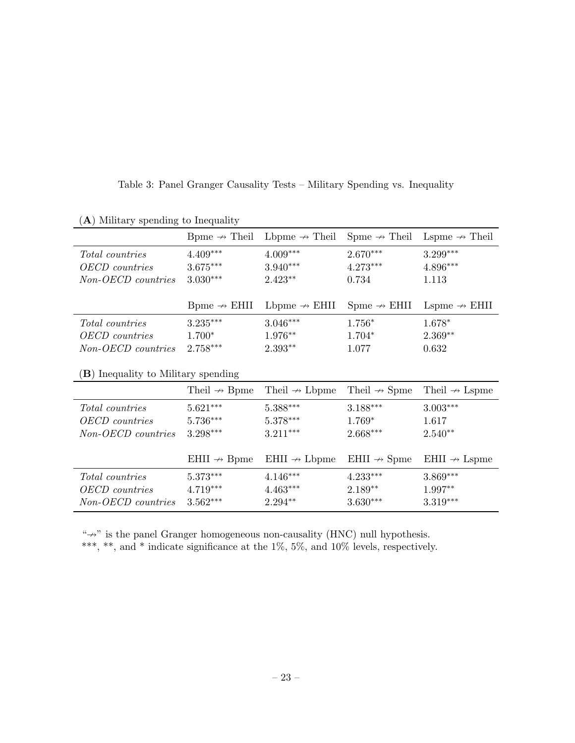|                                                                       |                                        | Bpme $\rightarrow$ Theil Lbpme $\rightarrow$ Theil Spme $\rightarrow$ Theil Lspme $\rightarrow$ Theil |                                   |                                   |
|-----------------------------------------------------------------------|----------------------------------------|-------------------------------------------------------------------------------------------------------|-----------------------------------|-----------------------------------|
| <i>Total countries</i><br><i>OECD</i> countries<br>Non-OECD countries | $4.409***$<br>$3.675***$<br>$3.030***$ | $4.009***$<br>$3.940***$<br>$2.423**$                                                                 | $2.670***$<br>$4.273***$<br>0.734 | $3.299***$<br>$4.896***$<br>1.113 |
|                                                                       |                                        |                                                                                                       |                                   |                                   |
|                                                                       |                                        | Bpme $\rightarrow$ EHII Lbpme $\rightarrow$ EHII Spme $\rightarrow$ EHII Lspme $\rightarrow$ EHII     |                                   |                                   |
| <i>Total countries</i>                                                | $3.235***$                             | $3.046***$                                                                                            | $1.756*$                          | $1.678*$                          |
| <i>OECD</i> countries                                                 | $1.700*$                               | $1.976**$                                                                                             | 1.704*                            | $2.369**$                         |

Table 3: Panel Granger Causality Tests – Military Spending vs. Inequality

#### (A) Military spending to Inequality

(B) Inequality to Military spending

|                                                                       | Theil $\rightarrow$ Bpme               | Theil $\rightarrow$ Lbpme              | Theil $\rightarrow$ Spme             | Theil $\rightarrow$ Lspme        |
|-----------------------------------------------------------------------|----------------------------------------|----------------------------------------|--------------------------------------|----------------------------------|
| <i>Total countries</i><br><i>OECD</i> countries<br>Non-OECD countries | $5.621***$<br>$5.736***$<br>$3.298***$ | $5.388***$<br>$5.378***$<br>$3.211***$ | $3.188***$<br>$1.769*$<br>$2.668***$ | $3.003***$<br>1.617<br>$2.540**$ |
|                                                                       |                                        |                                        |                                      |                                  |
|                                                                       | $EHII \nrightarrow Bpme$               | $EHII \nightharpoonup Lbpme$           | $EHII \rightarrow Spme$              | $EHII \rightarrow Lspme$         |

 $\lq \rightarrow \lq$  is the panel Granger homogeneous non-causality (HNC) null hypothesis.

\*\*\*, \*\*, and \* indicate significance at the 1%, 5%, and 10% levels, respectively.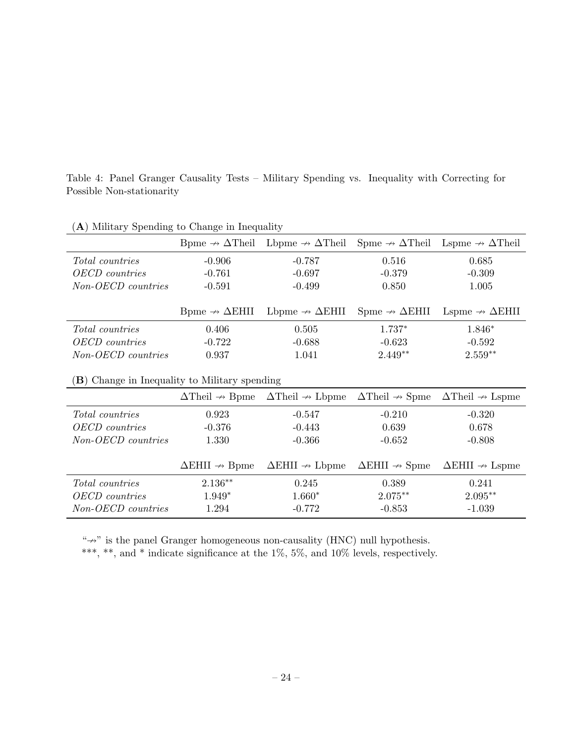Table 4: Panel Granger Causality Tests – Military Spending vs. Inequality with Correcting for Possible Non-stationarity

|                        | $B$ pme $\rightarrow \Delta$ Theil        | Lbpme $\rightarrow \Delta$ Theil   |                                   | Spme $\rightarrow \Delta$ Theil Lspme $\rightarrow \Delta$ Theil |
|------------------------|-------------------------------------------|------------------------------------|-----------------------------------|------------------------------------------------------------------|
| <i>Total countries</i> | $-0.906$                                  | $-0.787$                           | 0.516                             | 0.685                                                            |
| OECD countries         | $-0.761$                                  | $-0.697$                           | $-0.379$                          | $-0.309$                                                         |
| Non-OECD countries     | $-0.591$                                  | $-0.499$                           | 0.850                             | 1.005                                                            |
|                        |                                           |                                    |                                   |                                                                  |
|                        | $B$ pme $\rightarrow \Delta$ EHII         | Lbpme $\rightarrow \Delta$ EHII    | $S$ pme $\rightarrow \Delta$ EHII | Lspme $\rightarrow \Delta$ EHII                                  |
| <i>Total countries</i> | 0.406                                     | 0.505                              | $1.737*$                          | 1.846*                                                           |
| OECD countries         | $-0.722$                                  | $-0.688$                           | $-0.623$                          | $-0.592$                                                         |
| Non-OECD countries     | 0.937                                     | 1.041                              | $2.449**$                         | $2.559**$                                                        |
|                        |                                           |                                    |                                   |                                                                  |
| $\mathbf{(B)}$         | Change in Inequality to Military spending |                                    |                                   |                                                                  |
|                        | $\Delta$ Theil $\rightarrow$ Bpme         | $\Delta$ Theil $\rightarrow$ Lbpme | $\Delta$ Theil $\rightarrow$ Spme | $\Delta$ Theil $\rightarrow$ Lspme                               |
| <i>Total countries</i> | 0.923                                     | $-0.547$                           | $-0.210$                          | $-0.320$                                                         |
| <i>OECD</i> countries  | $-0.376$                                  | $-0.443$                           | 0.639                             | 0.678                                                            |
| Non-OECD countries     | 1.330                                     | $-0.366$                           | $-0.652$                          | $-0.808$                                                         |
|                        |                                           |                                    |                                   |                                                                  |
|                        | $\Delta$ EHII $\rightarrow$ Bpme          | $\Delta$ EHII $\rightarrow$ Lbpme  | $\Delta$ EHII $\rightarrow$ Spme  | $\Delta$ EHII $\rightarrow$ Lspme                                |
| <i>Total countries</i> | $2.136**$                                 | 0.245                              | 0.389                             | 0.241                                                            |
| <i>OECD</i> countries  | $1.949*$                                  | $1.660*$                           | $2.075**$                         | $2.095**$                                                        |
| Non-OECD countries     | 1.294                                     | $-0.772$                           | $-0.853$                          | $-1.039$                                                         |

#### (A) Military Spending to Change in Inequality

" $\rightarrow$ " is the panel Granger homogeneous non-causality (HNC) null hypothesis.

\*\*\*, \*\*, and \* indicate significance at the 1%, 5%, and 10% levels, respectively.